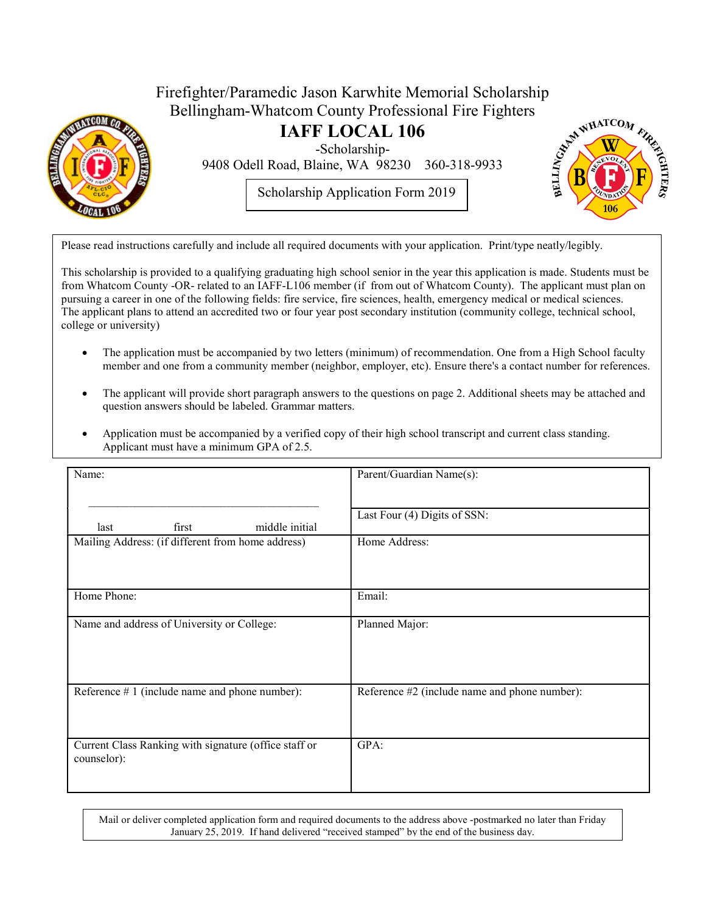

## Firefighter/Paramedic Jason Karwhite Memorial Scholarship<br>Bellingham-Whatcom County Professional Fire Fighters<br>**IAFF LOCAL 106**<br>Scholarship-<br>9408 Odell Road, Blaine, WA 98230 Bellingham-Whatcom County Professional Fire Fighters

IAFF LOCAL 106

-Scholarship-

9408 Odell Road, Blaine, WA 98230 360-318-9933

Scholarship Application Form 2019



Please read instructions carefully and include all required documents with your application. Print/type neatly/legibly.

This scholarship is provided to a qualifying graduating high school senior in the year this application is made. Students must be from Whatcom County -OR- related to an IAFF-L106 member (if from out of Whatcom County). The applicant must plan on pursuing a career in one of the following fields: fire service, fire sciences, health, emergency medical or medical sciences. The applicant plans to attend an accredited two or four year post secondary institution (community college, technical school, college or university)

- The application must be accompanied by two letters (minimum) of recommendation. One from a High School faculty member and one from a community member (neighbor, employer, etc). Ensure there's a contact number for references.
- The applicant will provide short paragraph answers to the questions on page 2. Additional sheets may be attached and question answers should be labeled. Grammar matters.
- Application must be accompanied by a verified copy of their high school transcript and current class standing. Applicant must have a minimum GPA of 2.5.

| Name:                                                                | Parent/Guardian Name(s):                      |
|----------------------------------------------------------------------|-----------------------------------------------|
| middle initial<br>first<br>last                                      | Last Four (4) Digits of SSN:                  |
| Mailing Address: (if different from home address)                    | Home Address:                                 |
| Home Phone:                                                          | Email:                                        |
| Name and address of University or College:                           | Planned Major:                                |
| Reference $# 1$ (include name and phone number):                     | Reference #2 (include name and phone number): |
| Current Class Ranking with signature (office staff or<br>counselor): | GPA:                                          |

Mail or deliver completed application form and required documents to the address above -postmarked no later than Friday January 25, 2019. If hand delivered "received stamped" by the end of the business day.